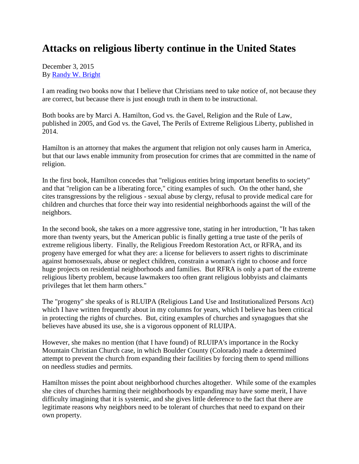## **Attacks on religious liberty continue in the United States**

December 3, 2015 By [Randy W. Bright](http://www.tulsabeacon.com/author/slug-o6yd1v)

I am reading two books now that I believe that Christians need to take notice of, not because they are correct, but because there is just enough truth in them to be instructional.

Both books are by Marci A. Hamilton, God vs. the Gavel, Religion and the Rule of Law, published in 2005, and God vs. the Gavel, The Perils of Extreme Religious Liberty, published in 2014.

Hamilton is an attorney that makes the argument that religion not only causes harm in America, but that our laws enable immunity from prosecution for crimes that are committed in the name of religion.

In the first book, Hamilton concedes that "religious entities bring important benefits to society" and that "religion can be a liberating force," citing examples of such. On the other hand, she cites transgressions by the religious - sexual abuse by clergy, refusal to provide medical care for children and churches that force their way into residential neighborhoods against the will of the neighbors.

In the second book, she takes on a more aggressive tone, stating in her introduction, "It has taken more than twenty years, but the American public is finally getting a true taste of the perils of extreme religious liberty. Finally, the Religious Freedom Restoration Act, or RFRA, and its progeny have emerged for what they are: a license for believers to assert rights to discriminate against homosexuals, abuse or neglect children, constrain a woman's right to choose and force huge projects on residential neighborhoods and families. But RFRA is only a part of the extreme religious liberty problem, because lawmakers too often grant religious lobbyists and claimants privileges that let them harm others."

The "progeny" she speaks of is RLUIPA (Religious Land Use and Institutionalized Persons Act) which I have written frequently about in my columns for years, which I believe has been critical in protecting the rights of churches. But, citing examples of churches and synagogues that she believes have abused its use, she is a vigorous opponent of RLUIPA.

However, she makes no mention (that I have found) of RLUIPA's importance in the Rocky Mountain Christian Church case, in which Boulder County (Colorado) made a determined attempt to prevent the church from expanding their facilities by forcing them to spend millions on needless studies and permits.

Hamilton misses the point about neighborhood churches altogether. While some of the examples she cites of churches harming their neighborhoods by expanding may have some merit, I have difficulty imagining that it is systemic, and she gives little deference to the fact that there are legitimate reasons why neighbors need to be tolerant of churches that need to expand on their own property.